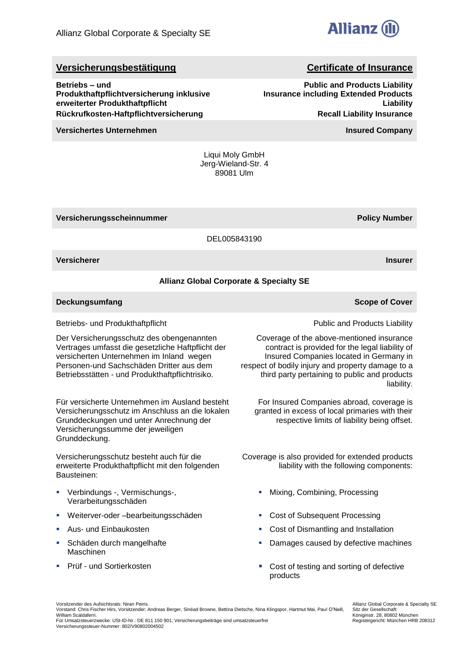

**Public and Products Liability**

**Recall Liability Insurance**

**Insurance including Extended Products** 

# **Versicherungsbestätigung Certificate of Insurance**

**Betriebs – und Produkthaftpflichtversicherung inklusive erweiterter Produkthaftpflicht Rückrufkosten-Haftpflichtversicherung**

**Versichertes Unternehmen Insured Company**

Liqui Moly GmbH Jerg-Wieland-Str. 4 89081 Ulm

**Versicherungsscheinnummer Policy Number**

DEL005843190

**Versicherer Insurer**

# **Allianz Global Corporate & Specialty SE**

**Deckungsumfang Scope of Cover Scope of Cover Scope of Cover Scope of Cover** 

Betriebs- und Produkthaftpflicht

Der Versicherungsschutz des obengenannten Vertrages umfasst die gesetzliche Haftpflicht der versicherten Unternehmen im Inland wegen Personen-und Sachschäden Dritter aus dem Betriebsstätten - und Produkthaftpflichtrisiko.

Für versicherte Unternehmen im Ausland besteht Versicherungsschutz im Anschluss an die lokalen Grunddeckungen und unter Anrechnung der Versicherungssumme der jeweiligen Grunddeckung.

Versicherungsschutz besteht auch für die erweiterte Produkthaftpflicht mit den folgenden Bausteinen:

- Verbindungs -, Vermischungs-, Verarbeitungsschäden
- Weiterver-oder –bearbeitungsschäden 
in Einer Cost of Subsequent Processing
- 
- Schäden durch mangelhafte Maschinen
- 

Public and Products Liability

Coverage of the above-mentioned insurance contract is provided for the legal liability of Insured Companies located in Germany in respect of bodily injury and property damage to a third party pertaining to public and products liability.

For Insured Companies abroad, coverage is granted in excess of local primaries with their respective limits of liability being offset.

Coverage is also provided for extended products liability with the following components:

- **Mixing, Combining, Processing**
- 
- Aus- und Einbaukosten **Cost of Dismantling and Installation Cost of Dismantling and Installation** 
	- Damages caused by defective machines
- Prüf und Sortierkosten Cost of testing and sorting of defective products

Vorsitzender des Aufsichtsrats: Niran Peiris.

Allianz Global Corporate & Specialty SE Sitz der Gesellschaft: Königinstr. 28, 80802 München Registergericht: München HRB 208312

**Liability**

Vorstand: Chris Fischer Hirs, Vorsitzender; Andreas Berger, Sinéad Browne, Bettina Dietsche, Nina Klingspor, Hartmut Mai, Paul O'Neill, William Scaldaferri.

Für Umsatzsteuerzwecke: USt-ID-Nr.: DE 811 150 901; Versicherungsbeiträge sind umsatzsteuerfrei Versicherungssteuer-Nummer: 802/V90802004502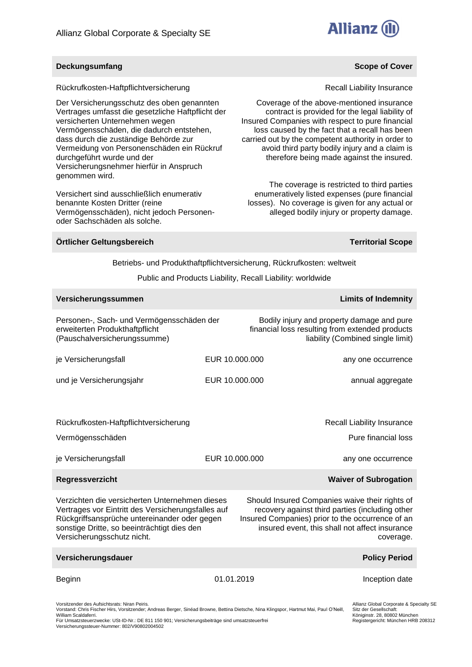

### **Deckungsumfang Scope of Cover Scope of Cover Scope of Cover Scope of Cover**

Rückrufkosten-Haftpflichtversicherung

Der Versicherungsschutz des oben genannten Vertrages umfasst die gesetzliche Haftpflicht der versicherten Unternehmen wegen Vermögensschäden, die dadurch entstehen, dass durch die zuständige Behörde zur Vermeidung von Personenschäden ein Rückruf durchgeführt wurde und der Versicherungsnehmer hierfür in Anspruch genommen wird.

Versichert sind ausschließlich enumerativ benannte Kosten Dritter (reine Vermögensschäden), nicht jedoch Personenoder Sachschäden als solche.

### **Örtlicher Geltungsbereich Territorial Scope**

Recall Liability Insurance

Coverage of the above-mentioned insurance contract is provided for the legal liability of Insured Companies with respect to pure financial loss caused by the fact that a recall has been carried out by the competent authority in order to avoid third party bodily injury and a claim is therefore being made against the insured.

The coverage is restricted to third parties enumeratively listed expenses (pure financial losses). No coverage is given for any actual or alleged bodily injury or property damage.

Betriebs- und Produkthaftpflichtversicherung, Rückrufkosten: weltweit

Public and Products Liability, Recall Liability: worldwide

| Versicherungssummen                                                                                                                                                                                                               |                |                                                                                                                                                                                                                      | <b>Limits of Indemnity</b>                                                                   |
|-----------------------------------------------------------------------------------------------------------------------------------------------------------------------------------------------------------------------------------|----------------|----------------------------------------------------------------------------------------------------------------------------------------------------------------------------------------------------------------------|----------------------------------------------------------------------------------------------|
| Personen-, Sach- und Vermögensschäden der<br>erweiterten Produkthaftpflicht<br>(Pauschalversicherungssumme)                                                                                                                       |                | Bodily injury and property damage and pure<br>financial loss resulting from extended products                                                                                                                        | liability (Combined single limit)                                                            |
| je Versicherungsfall                                                                                                                                                                                                              | EUR 10.000.000 |                                                                                                                                                                                                                      | any one occurrence                                                                           |
| und je Versicherungsjahr                                                                                                                                                                                                          | EUR 10.000.000 |                                                                                                                                                                                                                      | annual aggregate                                                                             |
| Rückrufkosten-Haftpflichtversicherung<br>Vermögensschäden                                                                                                                                                                         |                |                                                                                                                                                                                                                      | Recall Liability Insurance<br>Pure financial loss                                            |
| je Versicherungsfall                                                                                                                                                                                                              | EUR 10.000.000 |                                                                                                                                                                                                                      | any one occurrence                                                                           |
| Regressverzicht                                                                                                                                                                                                                   |                |                                                                                                                                                                                                                      | <b>Waiver of Subrogation</b>                                                                 |
| Verzichten die versicherten Unternehmen dieses<br>Vertrages vor Eintritt des Versicherungsfalles auf<br>Rückgriffsansprüche untereinander oder gegen<br>sonstige Dritte, so beeinträchtigt dies den<br>Versicherungsschutz nicht. |                | Should Insured Companies waive their rights of<br>recovery against third parties (including other<br>Insured Companies) prior to the occurrence of an<br>insured event, this shall not affect insurance<br>coverage. |                                                                                              |
| Versicherungsdauer                                                                                                                                                                                                                |                |                                                                                                                                                                                                                      | <b>Policy Period</b>                                                                         |
| Beginn                                                                                                                                                                                                                            | 01.01.2019     |                                                                                                                                                                                                                      | Inception date                                                                               |
| Vorsitzender des Aufsichtsrats: Niran Peiris.<br>Vorstand: Chris Fischer Hirs, Vorsitzender; Andreas Berger, Sinéad Browne, Bettina Dietsche, Nina Klingspor, Hartmut Mai, Paul O'Neill,<br>William Scaldaferri.                  |                |                                                                                                                                                                                                                      | Allianz Global Corporate & Specia<br>Sitz der Gesellschaft:<br>Königinstr. 28, 80802 München |

William Scaldaferri. Für Umsatzsteuerzwecke: USt-ID-Nr.: DE 811 150 901; Versicherungsbeiträge sind umsatzsteuerfrei Versicherungssteuer-Nummer: 802/V90802004502

alty SE Königinstr. 28, 80802 München Registergericht: München HRB 208312